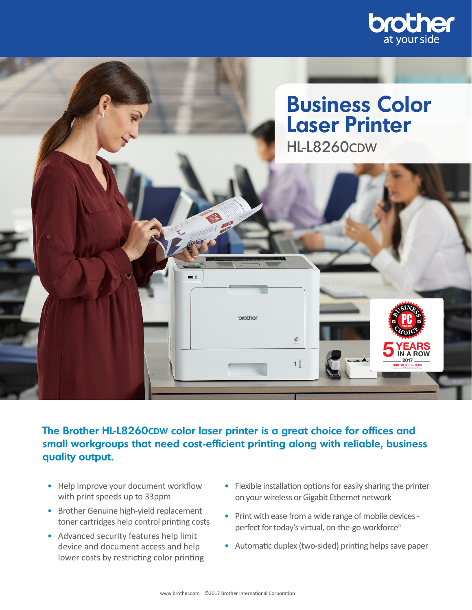



The Brother HL-L8260CDW color laser printer is a great choice for offices and **small workgroups that need cost-efficient printing along with reliable, business quality output.**

- Help improve your document workflow with print speeds up to 33ppm
- Brother Genuine high-yield replacement toner cartridges help control printing costs
- Advanced security features help limit device and document access and help lower costs by restricting color printing
- Flexible installation options for easily sharing the printer on your wireless or Gigabit Ethernet network
- Print with ease from a wide range of mobile devices perfect for today's virtual, on-the-go workforce<sup>□</sup>
- Automatic duplex (two-sided) printing helps save paper